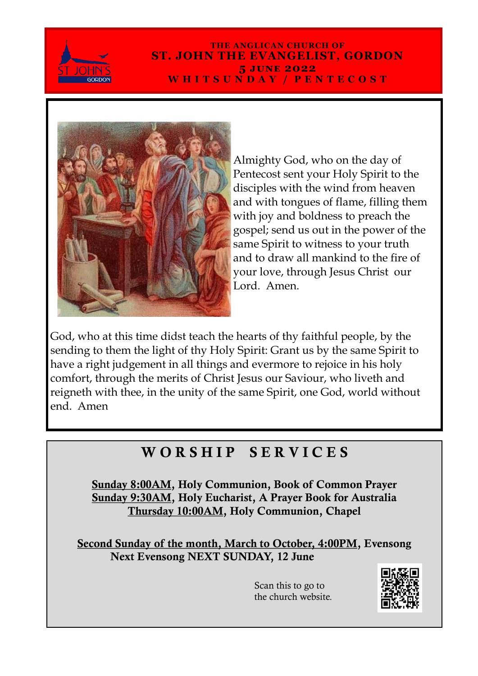

#### **THE ANGLICAN CHURCH OF ST. JOHN THE EVANGELIST, GORDON 5 june 2022 W H I T S U N D A Y / P E N T E C O S T**



Almighty God, who on the day of Pentecost sent your Holy Spirit to the disciples with the wind from heaven and with tongues of flame, filling them with joy and boldness to preach the gospel; send us out in the power of the same Spirit to witness to your truth and to draw all mankind to the fire of your love, through Jesus Christ our Lord. Amen.

God, who at this time didst teach the hearts of thy faithful people, by the sending to them the light of thy Holy Spirit: Grant us by the same Spirit to have a right judgement in all things and evermore to rejoice in his holy comfort, through the merits of Christ Jesus our Saviour, who liveth and reigneth with thee, in the unity of the same Spirit, one God, world without end. Amen

## WORSHIP SERVICES

Sunday 8:00AM, Holy Communion, Book of Common Prayer Sunday 9:30AM, Holy Eucharist, A Prayer Book for Australia Thursday 10:00AM, Holy Communion, Chapel

Second Sunday of the month, March to October, 4:00PM, Evensong Next Evensong NEXT SUNDAY, 12 June

> Scan this to go to the church website.

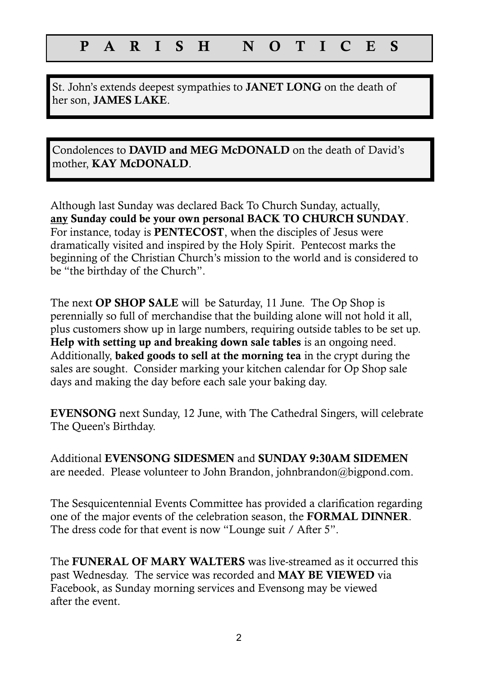### P A R I S H N O T I C E S

St. John's extends deepest sympathies to JANET LONG on the death of her son, JAMES LAKE.

Condolences to DAVID and MEG McDONALD on the death of David's mother, KAY McDONALD.

Although last Sunday was declared Back To Church Sunday, actually, any Sunday could be your own personal BACK TO CHURCH SUNDAY. For instance, today is PENTECOST, when the disciples of Jesus were dramatically visited and inspired by the Holy Spirit. Pentecost marks the beginning of the Christian Church's mission to the world and is considered to be "the birthday of the Church".

The next **OP SHOP SALE** will be Saturday, 11 June. The Op Shop is perennially so full of merchandise that the building alone will not hold it all, plus customers show up in large numbers, requiring outside tables to be set up. Help with setting up and breaking down sale tables is an ongoing need. Additionally, baked goods to sell at the morning tea in the crypt during the sales are sought. Consider marking your kitchen calendar for Op Shop sale days and making the day before each sale your baking day.

EVENSONG next Sunday, 12 June, with The Cathedral Singers, will celebrate The Queen's Birthday.

Additional EVENSONG SIDESMEN and SUNDAY 9:30AM SIDEMEN are needed. Please volunteer to John Brandon, johnbrandon@bigpond.com.

The Sesquicentennial Events Committee has provided a clarification regarding one of the major events of the celebration season, the FORMAL DINNER. The dress code for that event is now "Lounge suit / After 5".

The FUNERAL OF MARY WALTERS was live-streamed as it occurred this past Wednesday. The service was recorded and MAY BE VIEWED via Facebook, as Sunday morning services and Evensong may be viewed after the event.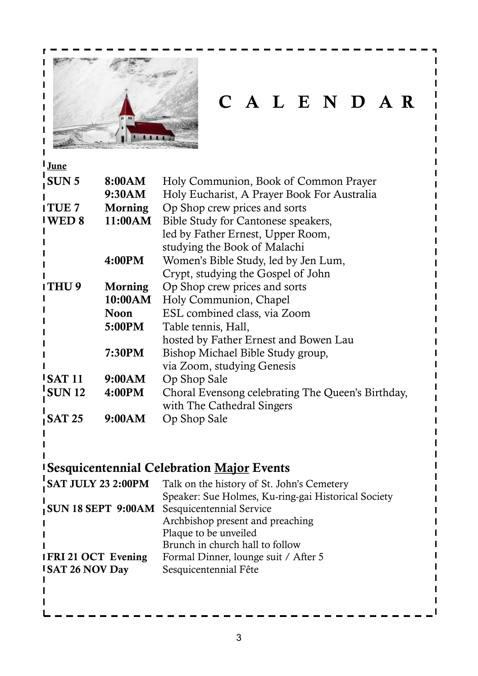

# C A L E N D A R

| I June                                             |                |                                                               |
|----------------------------------------------------|----------------|---------------------------------------------------------------|
| SUN <sub>5</sub><br>8:00AM                         |                | Holy Communion, Book of Common Prayer                         |
|                                                    | 9:30AM         | Holy Eucharist, A Prayer Book For Australia                   |
| <b>ITUE7</b>                                       | Morning        | Op Shop crew prices and sorts                                 |
| 11:00AM<br><b>IWED 8</b>                           |                | Bible Study for Cantonese speakers,                           |
|                                                    |                | led by Father Ernest, Upper Room,                             |
|                                                    |                | studying the Book of Malachi                                  |
|                                                    | 4:00PM         | Women's Bible Study, led by Jen Lum,                          |
|                                                    |                | Crypt, studying the Gospel of John                            |
| ITHU9                                              | <b>Morning</b> | Op Shop crew prices and sorts                                 |
|                                                    | 10:00AM        | Holy Communion, Chapel                                        |
|                                                    | <b>Noon</b>    | ESL combined class, via Zoom                                  |
|                                                    | 5:00PM         | Table tennis, Hall,                                           |
|                                                    |                | hosted by Father Ernest and Bowen Lau                         |
|                                                    | 7:30PM         | Bishop Michael Bible Study group,                             |
|                                                    |                | via Zoom, studying Genesis                                    |
| $\overline{1}$ SAT 11                              | 9:00AM         | Op Shop Sale                                                  |
| SUN12                                              | 4:00PM         | Choral Evensong celebrating The Queen's Birthday,             |
|                                                    |                | with The Cathedral Singers                                    |
| <b>SAT 25</b>                                      | 9:00AM         | Op Shop Sale                                                  |
|                                                    |                |                                                               |
|                                                    |                |                                                               |
|                                                    |                | <b>Sesquicentennial Celebration Major Events</b>              |
|                                                    |                | SAT JULY 23 2:00PM Talk on the history of St. John's Cemetery |
|                                                    |                | Speaker: Sue Holmes, Ku-ring-gai Historical Society           |
| <b>SUN 18 SEPT 9:00AM</b> Sesquicentennial Service |                |                                                               |
|                                                    |                | Archbishop present and preaching                              |
|                                                    |                | Plaque to be unveiled<br>Brunch in church hall to follow      |
| <b>IFRI21 OCT Evening</b>                          |                | Formal Dinner, lounge suit / After 5                          |
| <b>ISAT 26 NOV Day</b>                             |                | Sesquicentennial Fête                                         |
|                                                    |                |                                                               |
|                                                    |                |                                                               |
|                                                    |                |                                                               |